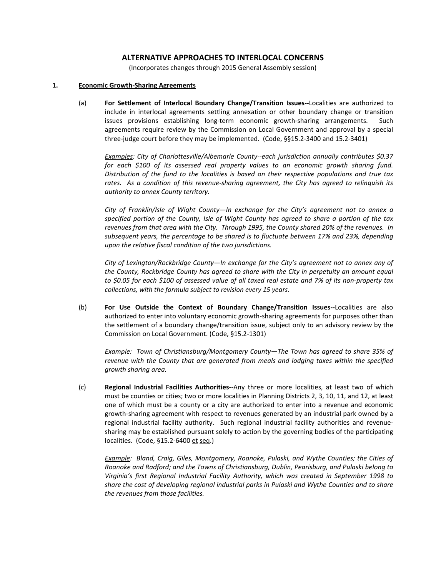# **ALTERNATIVE APPROACHES TO INTERLOCAL CONCERNS**

(Incorporates changes through 2015 General Assembly session)

#### **1. Economic Growth-Sharing Agreements**

(a) **For Settlement of Interlocal Boundary Change/Transition Issues-**-Localities are authorized to include in interlocal agreements settling annexation or other boundary change or transition issues provisions establishing long-term economic growth-sharing arrangements. Such agreements require review by the Commission on Local Government and approval by a special three-judge court before they may be implemented. (Code, §§15.2-3400 and 15.2-3401)

*Examples: City of Charlottesville/Albemarle County--each jurisdiction annually contributes \$0.37 for each \$100 of its assessed real property values to an economic growth sharing fund. Distribution of the fund to the localities is based on their respective populations and true tax rates. As a condition of this revenue-sharing agreement, the City has agreed to relinquish its authority to annex County territory.*

*City of Franklin/Isle of Wight County—In exchange for the City's agreement not to annex a specified portion of the County, Isle of Wight County has agreed to share a portion of the tax revenues from that area with the City. Through 1995, the County shared 20% of the revenues. In subsequent years, the percentage to be shared is to fluctuate between 17% and 23%, depending upon the relative fiscal condition of the two jurisdictions.*

*City of Lexington/Rockbridge County—In exchange for the City's agreement not to annex any of the County, Rockbridge County has agreed to share with the City in perpetuity an amount equal to \$0.05 for each \$100 of assessed value of all taxed real estate and 7% of its non-property tax collections, with the formula subject to revision every 15 years.* 

(b) **For Use Outside the Context of Boundary Change/Transition Issues--**Localities are also authorized to enter into voluntary economic growth-sharing agreements for purposes other than the settlement of a boundary change/transition issue, subject only to an advisory review by the Commission on Local Government. (Code, §15.2-1301)

*Example: Town of Christiansburg/Montgomery County—The Town has agreed to share 35% of revenue with the County that are generated from meals and lodging taxes within the specified growth sharing area.*

(c) **Regional Industrial Facilities Authorities--**Any three or more localities, at least two of which must be counties or cities; two or more localities in Planning Districts 2, 3, 10, 11, and 12, at least one of which must be a county or a city are authorized to enter into a revenue and economic growth-sharing agreement with respect to revenues generated by an industrial park owned by a regional industrial facility authority. Such regional industrial facility authorities and revenuesharing may be established pursuant solely to action by the governing bodies of the participating localities. (Code, §15.2-6400 et seq.)

*Example: Bland, Craig, Giles, Montgomery, Roanoke, Pulaski, and Wythe Counties; the Cities of Roanoke and Radford; and the Towns of Christiansburg, Dublin, Pearisburg, and Pulaski belong to Virginia's first Regional Industrial Facility Authority, which was created in September 1998 to share the cost of developing regional industrial parks in Pulaski and Wythe Counties and to share the revenues from those facilities.*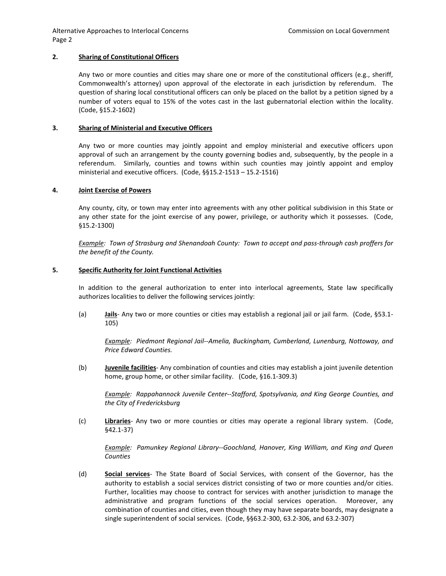Alternative Approaches to Interlocal Concerns Commission on Local Government Page 2

### **2. Sharing of Constitutional Officers**

Any two or more counties and cities may share one or more of the constitutional officers (e.g., sheriff, Commonwealth's attorney) upon approval of the electorate in each jurisdiction by referendum. The question of sharing local constitutional officers can only be placed on the ballot by a petition signed by a number of voters equal to 15% of the votes cast in the last gubernatorial election within the locality. (Code, §15.2-1602)

# **3. Sharing of Ministerial and Executive Officers**

Any two or more counties may jointly appoint and employ ministerial and executive officers upon approval of such an arrangement by the county governing bodies and, subsequently, by the people in a referendum. Similarly, counties and towns within such counties may jointly appoint and employ ministerial and executive officers. (Code, §§15.2-1513 – 15.2-1516)

#### **4. Joint Exercise of Powers**

Any county, city, or town may enter into agreements with any other political subdivision in this State or any other state for the joint exercise of any power, privilege, or authority which it possesses. (Code, §15.2-1300)

*Example: Town of Strasburg and Shenandoah County: Town to accept and pass-through cash proffers for the benefit of the County.*

#### **5. Specific Authority for Joint Functional Activities**

In addition to the general authorization to enter into interlocal agreements, State law specifically authorizes localities to deliver the following services jointly:

(a) **Jails**- Any two or more counties or cities may establish a regional jail or jail farm. (Code, §53.1- 105)

*Example: Piedmont Regional Jail--Amelia, Buckingham, Cumberland, Lunenburg, Nottoway, and Price Edward Counties.*

(b) **Juvenile facilities**- Any combination of counties and cities may establish a joint juvenile detention home, group home, or other similar facility. (Code, §16.1-309.3)

*Example: Rappahannock Juvenile Center--Stafford, Spotsylvania, and King George Counties, and the City of Fredericksburg*

(c) **Libraries**- Any two or more counties or cities may operate a regional library system. (Code, §42.1-37)

*Example: Pamunkey Regional Library--Goochland, Hanover, King William, and King and Queen Counties*

(d) **Social services**- The State Board of Social Services, with consent of the Governor, has the authority to establish a social services district consisting of two or more counties and/or cities. Further, localities may choose to contract for services with another jurisdiction to manage the administrative and program functions of the social services operation. Moreover, any combination of counties and cities, even though they may have separate boards, may designate a single superintendent of social services. (Code, §§63.2-300, 63.2-306, and 63.2-307)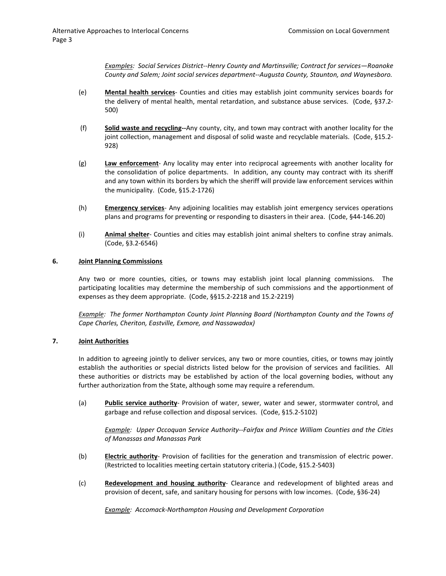*Examples: Social Services District--Henry County and Martinsville; Contract for services—Roanoke County and Salem; Joint social services department--Augusta County, Staunton, and Waynesboro.*

- (e) **Mental health services** Counties and cities may establish joint community services boards for the delivery of mental health, mental retardation, and substance abuse services. (Code, §37.2- 500)
- (f) **Solid waste and recycling--**Any county, city, and town may contract with another locality for the joint collection, management and disposal of solid waste and recyclable materials. (Code, §15.2- 928)
- (g) **Law enforcement** Any locality may enter into reciprocal agreements with another locality for the consolidation of police departments. In addition, any county may contract with its sheriff and any town within its borders by which the sheriff will provide law enforcement services within the municipality. (Code, §15.2-1726)
- (h) **Emergency services** Any adjoining localities may establish joint emergency services operations plans and programs for preventing or responding to disasters in their area. (Code, §44-146.20)
- (i) **Animal shelter** Counties and cities may establish joint animal shelters to confine stray animals. (Code, §3.2-6546)

#### **6. Joint Planning Commissions**

Any two or more counties, cities, or towns may establish joint local planning commissions. The participating localities may determine the membership of such commissions and the apportionment of expenses as they deem appropriate. (Code, §§15.2-2218 and 15.2-2219)

*Example: The former Northampton County Joint Planning Board (Northampton County and the Towns of Cape Charles, Cheriton, Eastville, Exmore, and Nassawadox)*

# **7. Joint Authorities**

In addition to agreeing jointly to deliver services, any two or more counties, cities, or towns may jointly establish the authorities or special districts listed below for the provision of services and facilities. All these authorities or districts may be established by action of the local governing bodies, without any further authorization from the State, although some may require a referendum.

(a) **Public service authority**- Provision of water, sewer, water and sewer, stormwater control, and garbage and refuse collection and disposal services. (Code, §15.2-5102)

*Example: Upper Occoquan Service Authority--Fairfax and Prince William Counties and the Cities of Manassas and Manassas Park*

- (b) **Electric authority** Provision of facilities for the generation and transmission of electric power. (Restricted to localities meeting certain statutory criteria.) (Code, §15.2-5403)
- (c) **Redevelopment and housing authority** Clearance and redevelopment of blighted areas and provision of decent, safe, and sanitary housing for persons with low incomes. (Code, §36-24)

*Example: Accomack-Northampton Housing and Development Corporation*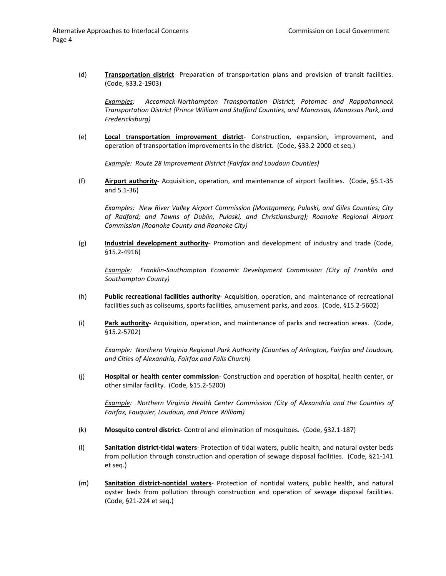(d) **Transportation district**- Preparation of transportation plans and provision of transit facilities. (Code, §33.2-1903)

*Examples: Accomack-Northampton Transportation District; Potomac and Rappahannock Transportation District (Prince William and Stafford Counties, and Manassas, Manassas Park, and Fredericksburg)*

(e) **Local transportation improvement district**- Construction, expansion, improvement, and operation of transportation improvements in the district. (Code, §33.2-2000 et seq.)

*Example: Route 28 Improvement District (Fairfax and Loudoun Counties)*

(f) **Airport authority**- Acquisition, operation, and maintenance of airport facilities. (Code, §5.1-35 and 5.1-36)

*Examples: New River Valley Airport Commission (Montgomery, Pulaski, and Giles Counties; City of Radford; and Towns of Dublin, Pulaski, and Christiansburg); Roanoke Regional Airport Commission (Roanoke County and Roanoke City)*

(g) **Industrial development authority**- Promotion and development of industry and trade (Code, §15.2-4916)

*Example: Franklin-Southampton Economic Development Commission (City of Franklin and Southampton County)*

- (h) **Public recreational facilities authority** Acquisition, operation, and maintenance of recreational facilities such as coliseums, sports facilities, amusement parks, and zoos. (Code, §15.2-5602)
- (i) **Park authority** Acquisition, operation, and maintenance of parks and recreation areas. (Code, §15.2-5702)

*Example: Northern Virginia Regional Park Authority (Counties of Arlington, Fairfax and Loudoun, and Cities of Alexandria, Fairfax and Falls Church)*

(j) **Hospital or health center commission**- Construction and operation of hospital, health center, or other similar facility. (Code, §15.2-5200)

*Example: Northern Virginia Health Center Commission (City of Alexandria and the Counties of Fairfax, Fauquier, Loudoun, and Prince William)*

- (k) **Mosquito control district** Control and elimination of mosquitoes. (Code, §32.1-187)
- (l) **Sanitation district-tidal waters** Protection of tidal waters, public health, and natural oyster beds from pollution through construction and operation of sewage disposal facilities. (Code, §21-141 et seq.)
- (m) **Sanitation district-nontidal waters** Protection of nontidal waters, public health, and natural oyster beds from pollution through construction and operation of sewage disposal facilities. (Code, §21-224 et seq.)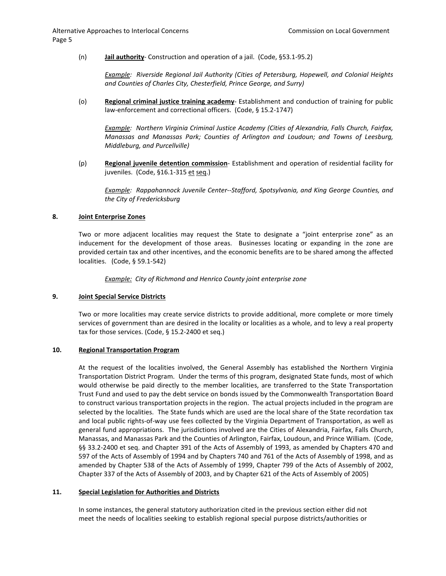(n) **Jail authority**- Construction and operation of a jail. (Code, §53.1-95.2)

*Example: Riverside Regional Jail Authority (Cities of Petersburg, Hopewell, and Colonial Heights and Counties of Charles City, Chesterfield, Prince George, and Surry)*

(o) **Regional criminal justice training academy**- Establishment and conduction of training for public law-enforcement and correctional officers. (Code, § 15.2-1747)

*Example: Northern Virginia Criminal Justice Academy (Cities of Alexandria, Falls Church, Fairfax, Manassas and Manassas Park; Counties of Arlington and Loudoun; and Towns of Leesburg, Middleburg, and Purcellville)*

(p) **Regional juvenile detention commission**- Establishment and operation of residential facility for juveniles. (Code, §16.1-315 et seq.)

*Example: Rappahannock Juvenile Center--Stafford, Spotsylvania, and King George Counties, and the City of Fredericksburg*

#### **8. Joint Enterprise Zones**

Two or more adjacent localities may request the State to designate a "joint enterprise zone" as an inducement for the development of those areas. Businesses locating or expanding in the zone are provided certain tax and other incentives, and the economic benefits are to be shared among the affected localities. (Code, § 59.1-542)

*Example: City of Richmond and Henrico County joint enterprise zone*

### **9. Joint Special Service Districts**

Two or more localities may create service districts to provide additional, more complete or more timely services of government than are desired in the locality or localities as a whole, and to levy a real property tax for those services. (Code, § 15.2-2400 et seq.)

### **10. Regional Transportation Program**

At the request of the localities involved, the General Assembly has established the Northern Virginia Transportation District Program. Under the terms of this program, designated State funds, most of which would otherwise be paid directly to the member localities, are transferred to the State Transportation Trust Fund and used to pay the debt service on bonds issued by the Commonwealth Transportation Board to construct various transportation projects in the region. The actual projects included in the program are selected by the localities. The State funds which are used are the local share of the State recordation tax and local public rights-of-way use fees collected by the Virginia Department of Transportation, as well as general fund appropriations. The jurisdictions involved are the Cities of Alexandria, Fairfax, Falls Church, Manassas, and Manassas Park and the Counties of Arlington, Fairfax, Loudoun, and Prince William. (Code, §§ 33.2-2400 et seq. and Chapter 391 of the Acts of Assembly of 1993, as amended by Chapters 470 and 597 of the Acts of Assembly of 1994 and by Chapters 740 and 761 of the Acts of Assembly of 1998, and as amended by Chapter 538 of the Acts of Assembly of 1999, Chapter 799 of the Acts of Assembly of 2002, Chapter 337 of the Acts of Assembly of 2003, and by Chapter 621 of the Acts of Assembly of 2005)

#### **11. Special Legislation for Authorities and Districts**

In some instances, the general statutory authorization cited in the previous section either did not meet the needs of localities seeking to establish regional special purpose districts/authorities or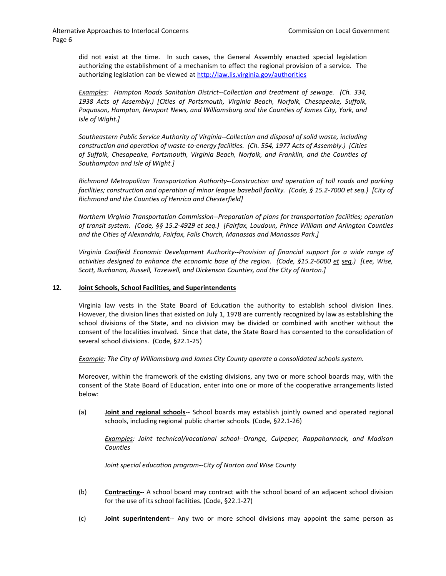did not exist at the time. In such cases, the General Assembly enacted special legislation authorizing the establishment of a mechanism to effect the regional provision of a service. The authorizing legislation can be viewed at http://law.lis.virginia.gov/authorities

*Examples: Hampton Roads Sanitation District--Collection and treatment of sewage. (Ch. 334, 1938 Acts of Assembly.) [Cities of Portsmouth, Virginia Beach, Norfolk, Chesapeake, Suffolk, Poquoson, Hampton, Newport News, and Williamsburg and the Counties of James City, York, and Isle of Wight.]*

*Southeastern Public Service Authority of Virginia--Collection and disposal of solid waste, including construction and operation of waste-to-energy facilities. (Ch. 554, 1977 Acts of Assembly.) [Cities of Suffolk, Chesapeake, Portsmouth, Virginia Beach, Norfolk, and Franklin, and the Counties of Southampton and Isle of Wight.]*

*Richmond Metropolitan Transportation Authority--Construction and operation of toll roads and parking facilities; construction and operation of minor league baseball facility. (Code, § 15.2-7000 et seq.) [City of Richmond and the Counties of Henrico and Chesterfield]*

*Northern Virginia Transportation Commission--Preparation of plans for transportation facilities; operation of transit system. (Code, §§ 15.2-4929 et seq.) [Fairfax, Loudoun, Prince William and Arlington Counties and the Cities of Alexandria, Fairfax, Falls Church, Manassas and Manassas Park.]*

*Virginia Coalfield Economic Development Authority--Provision of financial support for a wide range of activities designed to enhance the economic base of the region. (Code, §15.2-6000 et seq.) [Lee, Wise, Scott, Buchanan, Russell, Tazewell, and Dickenson Counties, and the City of Norton.]*

### **12. Joint Schools, School Facilities, and Superintendents**

Virginia law vests in the State Board of Education the authority to establish school division lines. However, the division lines that existed on July 1, 1978 are currently recognized by law as establishing the school divisions of the State, and no division may be divided or combined with another without the consent of the localities involved. Since that date, the State Board has consented to the consolidation of several school divisions. (Code, §22.1-25)

*Example: The City of Williamsburg and James City County operate a consolidated schools system.*

Moreover, within the framework of the existing divisions, any two or more school boards may, with the consent of the State Board of Education, enter into one or more of the cooperative arrangements listed below:

(a) **Joint and regional schools**-- School boards may establish jointly owned and operated regional schools, including regional public charter schools. (Code, §22.1-26)

*Examples: Joint technical/vocational school--Orange, Culpeper, Rappahannock, and Madison Counties*

*Joint special education program--City of Norton and Wise County*

- (b) **Contracting**-- A school board may contract with the school board of an adjacent school division for the use of its school facilities. (Code, §22.1-27)
- (c) **Joint superintendent**-- Any two or more school divisions may appoint the same person as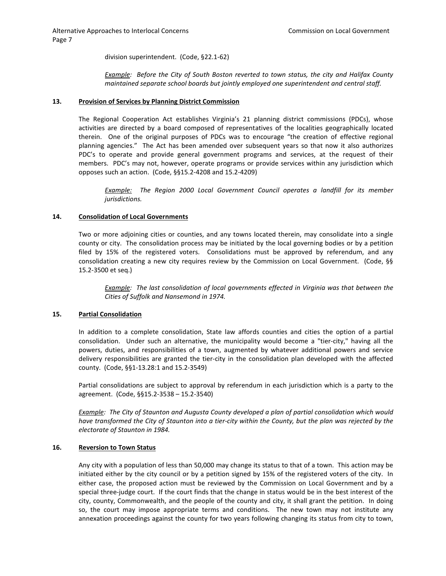division superintendent. (Code, §22.1-62)

*Example: Before the City of South Boston reverted to town status, the city and Halifax County maintained separate school boards but jointly employed one superintendent and central staff.*

#### **13. Provision of Services by Planning District Commission**

The Regional Cooperation Act establishes Virginia's 21 planning district commissions (PDCs), whose activities are directed by a board composed of representatives of the localities geographically located therein. One of the original purposes of PDCs was to encourage "the creation of effective regional planning agencies." The Act has been amended over subsequent years so that now it also authorizes PDC's to operate and provide general government programs and services, at the request of their members. PDC's may not, however, operate programs or provide services within any jurisdiction which opposes such an action. (Code, §§15.2-4208 and 15.2-4209)

*Example: The Region 2000 Local Government Council operates a landfill for its member jurisdictions.*

#### **14. Consolidation of Local Governments**

Two or more adjoining cities or counties, and any towns located therein, may consolidate into a single county or city. The consolidation process may be initiated by the local governing bodies or by a petition filed by 15% of the registered voters. Consolidations must be approved by referendum, and any consolidation creating a new city requires review by the Commission on Local Government. (Code, §§ 15.2-3500 et seq.)

*Example: The last consolidation of local governments effected in Virginia was that between the Cities of Suffolk and Nansemond in 1974.*

#### **15. Partial Consolidation**

In addition to a complete consolidation, State law affords counties and cities the option of a partial consolidation. Under such an alternative, the municipality would become a "tier-city," having all the powers, duties, and responsibilities of a town, augmented by whatever additional powers and service delivery responsibilities are granted the tier-city in the consolidation plan developed with the affected county. (Code, §§1-13.28:1 and 15.2-3549)

Partial consolidations are subject to approval by referendum in each jurisdiction which is a party to the agreement. (Code, §§15.2-3538 – 15.2-3540)

*Example: The City of Staunton and Augusta County developed a plan of partial consolidation which would have transformed the City of Staunton into a tier-city within the County, but the plan was rejected by the electorate of Staunton in 1984.*

# **16. Reversion to Town Status**

Any city with a population of less than 50,000 may change its status to that of a town. This action may be initiated either by the city council or by a petition signed by 15% of the registered voters of the city. In either case, the proposed action must be reviewed by the Commission on Local Government and by a special three-judge court. If the court finds that the change in status would be in the best interest of the city, county, Commonwealth, and the people of the county and city, it shall grant the petition. In doing so, the court may impose appropriate terms and conditions. The new town may not institute any annexation proceedings against the county for two years following changing its status from city to town,